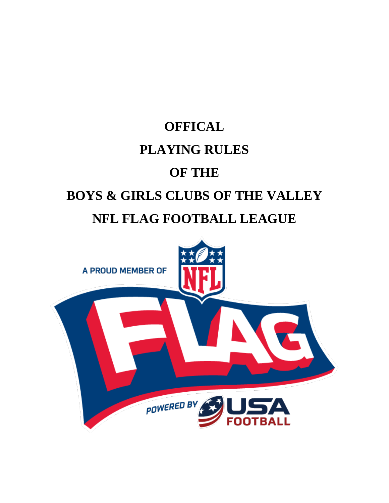

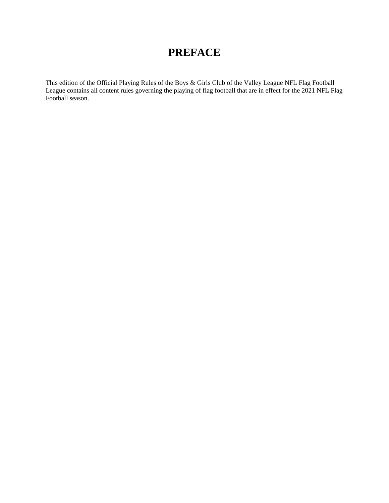### **PREFACE**

This edition of the Official Playing Rules of the Boys & Girls Club of the Valley League NFL Flag Football League contains all content rules governing the playing of flag football that are in effect for the 2021 NFL Flag Football season.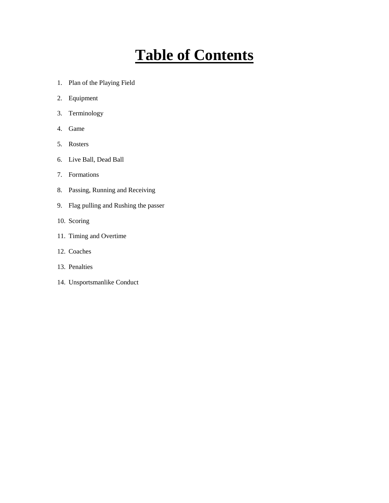# **Table of Contents**

- 1. Plan of the Playing Field
- 2. Equipment
- 3. Terminology
- 4. Game
- 5. Rosters
- 6. Live Ball, Dead Ball
- 7. Formations
- 8. Passing, Running and Receiving
- 9. Flag pulling and Rushing the passer
- 10. Scoring
- 11. Timing and Overtime
- 12. Coaches
- 13. Penalties
- 14. Unsportsmanlike Conduct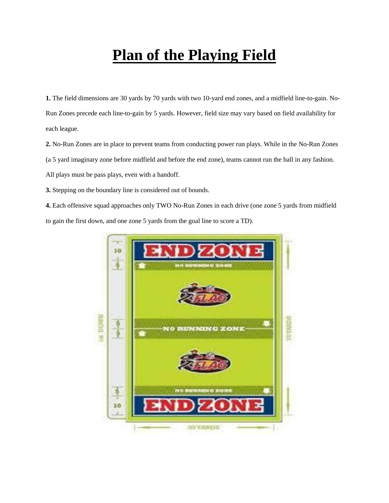# **Plan of the Playing Field**

**1.** The field dimensions are 30 yards by 70 yards with two 10-yard end zones, and a midfield line-to-gain. No-Run Zones precede each line-to-gain by 5 yards. However, field size may vary based on field availability for each league.

**2.** No-Run Zones are in place to prevent teams from conducting power run plays. While in the No-Run Zones (a 5 yard imaginary zone before midfield and before the end zone), teams cannot run the ball in any fashion. All plays must be pass plays, even with a handoff.

**3.** Stepping on the boundary line is considered out of bounds.

**4.** Each offensive squad approaches only TWO No-Run Zones in each drive (one zone 5 yards from midfield to gain the first down, and one zone 5 yards from the goal line to score a TD).

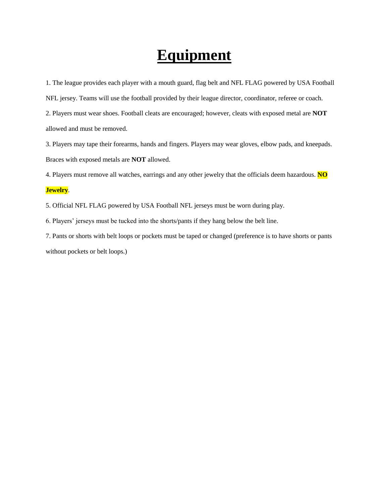## **Equipment**

1. The league provides each player with a mouth guard, flag belt and NFL FLAG powered by USA Football

NFL jersey. Teams will use the football provided by their league director, coordinator, referee or coach.

2. Players must wear shoes. Football cleats are encouraged; however, cleats with exposed metal are **NOT** allowed and must be removed.

3. Players may tape their forearms, hands and fingers. Players may wear gloves, elbow pads, and kneepads. Braces with exposed metals are **NOT** allowed.

4. Players must remove all watches, earrings and any other jewelry that the officials deem hazardous. **NO** 

### **Jewelry**.

5. Official NFL FLAG powered by USA Football NFL jerseys must be worn during play.

6. Players' jerseys must be tucked into the shorts/pants if they hang below the belt line.

7. Pants or shorts with belt loops or pockets must be taped or changed (preference is to have shorts or pants without pockets or belt loops.)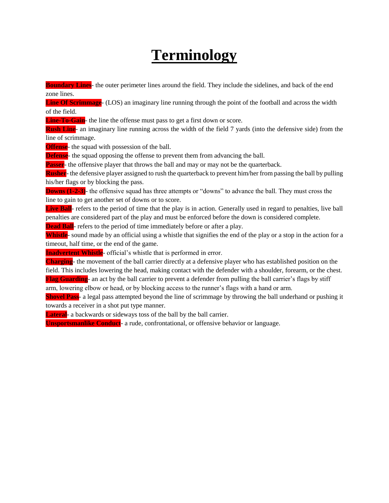# **Terminology**

**Boundary Lines**- the outer perimeter lines around the field. They include the sidelines, and back of the end zone lines.

**Line Of Scrimmage**- (LOS) an imaginary line running through the point of the football and across the width of the field.

**Line-To-Gain**- the line the offense must pass to get a first down or score.

**Rush Line**- an imaginary line running across the width of the field 7 yards (into the defensive side) from the line of scrimmage.

**Offense**- the squad with possession of the ball.

**Defense**- the squad opposing the offense to prevent them from advancing the ball.

**Passer**- the offensive player that throws the ball and may or may not be the quarterback.

**Rusher**- the defensive player assigned to rush the quarterback to prevent him/her from passing the ball by pulling his/her flags or by blocking the pass.

**Downs (1-2-3)**- the offensive squad has three attempts or "downs" to advance the ball. They must cross the line to gain to get another set of downs or to score.

Live Ball- refers to the period of time that the play is in action. Generally used in regard to penalties, live ball penalties are considered part of the play and must be enforced before the down is considered complete.

**Dead Ball**- refers to the period of time immediately before or after a play.

**Whistle**- sound made by an official using a whistle that signifies the end of the play or a stop in the action for a timeout, half time, or the end of the game.

**Inadvertent Whistle**- official's whistle that is performed in error.

**Charging**- the movement of the ball carrier directly at a defensive player who has established position on the field. This includes lowering the head, making contact with the defender with a shoulder, forearm, or the chest. **Flag Guarding**- an act by the ball carrier to prevent a defender from pulling the ball carrier's flags by stiff

arm, lowering elbow or head, or by blocking access to the runner's flags with a hand or arm.

**Shovel Pass**- a legal pass attempted beyond the line of scrimmage by throwing the ball underhand or pushing it towards a receiver in a shot put type manner.

**Lateral**- a backwards or sideways toss of the ball by the ball carrier.

**Unsportsmanlike Conduct**- a rude, confrontational, or offensive behavior or language.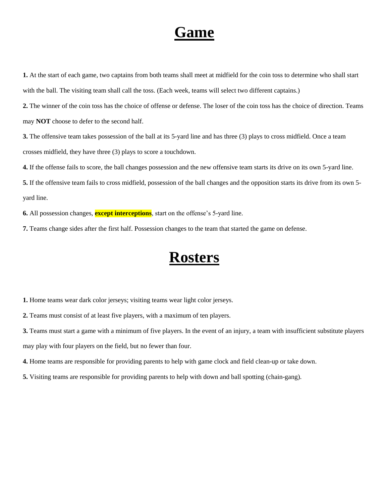## **Game**

**1.** At the start of each game, two captains from both teams shall meet at midfield for the coin toss to determine who shall start with the ball. The visiting team shall call the toss. (Each week, teams will select two different captains.)

**2.** The winner of the coin toss has the choice of offense or defense. The loser of the coin toss has the choice of direction. Teams may **NOT** choose to defer to the second half.

**3.** The offensive team takes possession of the ball at its 5-yard line and has three (3) plays to cross midfield. Once a team crosses midfield, they have three (3) plays to score a touchdown.

**4.** If the offense fails to score, the ball changes possession and the new offensive team starts its drive on its own 5-yard line.

**5.** If the offensive team fails to cross midfield, possession of the ball changes and the opposition starts its drive from its own 5 yard line.

**6.** All possession changes, **except interceptions**, start on the offense's 5-yard line.

**7.** Teams change sides after the first half. Possession changes to the team that started the game on defense.

### **Rosters**

**1.** Home teams wear dark color jerseys; visiting teams wear light color jerseys.

**2.** Teams must consist of at least five players, with a maximum of ten players.

**3.** Teams must start a game with a minimum of five players. In the event of an injury, a team with insufficient substitute players may play with four players on the field, but no fewer than four.

**4.** Home teams are responsible for providing parents to help with game clock and field clean-up or take down.

**5.** Visiting teams are responsible for providing parents to help with down and ball spotting (chain-gang).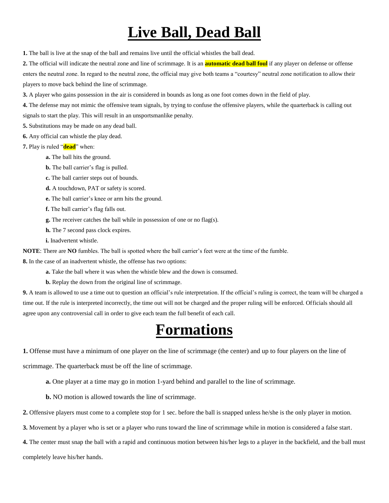# **Live Ball, Dead Ball**

**1.** The ball is live at the snap of the ball and remains live until the official whistles the ball dead.

**2.** The official will indicate the neutral zone and line of scrimmage. It is an **automatic dead ball foul** if any player on defense or offense enters the neutral zone. In regard to the neutral zone, the official may give both teams a "courtesy" neutral zone notification to allow their players to move back behind the line of scrimmage.

**3.** A player who gains possession in the air is considered in bounds as long as one foot comes down in the field of play.

**4.** The defense may not mimic the offensive team signals, by trying to confuse the offensive players, while the quarterback is calling out signals to start the play. This will result in an unsportsmanlike penalty.

**5.** Substitutions may be made on any dead ball.

- **6.** Any official can whistle the play dead.
- **7.** Play is ruled "**dead**" when:
	- **a.** The ball hits the ground.
	- **b.** The ball carrier's flag is pulled.
	- **c.** The ball carrier steps out of bounds.
	- **d.** A touchdown, PAT or safety is scored.
	- **e.** The ball carrier's knee or arm hits the ground.
	- **f.** The ball carrier's flag falls out.
	- **g.** The receiver catches the ball while in possession of one or no flag(s).
	- **h.** The 7 second pass clock expires.
	- **i.** Inadvertent whistle.

**NOTE**: There are **NO** fumbles. The ball is spotted where the ball carrier's feet were at the time of the fumble.

**8.** In the case of an inadvertent whistle, the offense has two options:

- **a.** Take the ball where it was when the whistle blew and the down is consumed.
- **b.** Replay the down from the original line of scrimmage.

**9.** A team is allowed to use a time out to question an official's rule interpretation. If the official's ruling is correct, the team will be charged a time out. If the rule is interpreted incorrectly, the time out will not be charged and the proper ruling will be enforced. Officials should all agree upon any controversial call in order to give each team the full benefit of each call.

## **Formations**

**1.** Offense must have a minimum of one player on the line of scrimmage (the center) and up to four players on the line of

scrimmage. The quarterback must be off the line of scrimmage.

**a.** One player at a time may go in motion 1-yard behind and parallel to the line of scrimmage.

**b.** NO motion is allowed towards the line of scrimmage.

**2.** Offensive players must come to a complete stop for 1 sec. before the ball is snapped unless he/she is the only player in motion.

- **3.** Movement by a player who is set or a player who runs toward the line of scrimmage while in motion is considered a false start.
- **4.** The center must snap the ball with a rapid and continuous motion between his/her legs to a player in the backfield, and the ball must

completely leave his/her hands.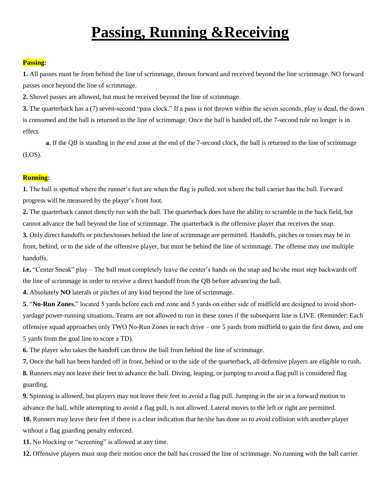# **Passing, Running &Receiving**

### **Passing:**

**1.** All passes must be from behind the line of scrimmage, thrown forward and received beyond the line scrimmage. NO forward passes once beyond the line of scrimmage.

**2.** Shovel passes are allowed, but must be received beyond the line of scrimmage.

**3.** The quarterback has a (7) seven-second "pass clock." If a pass is not thrown within the seven seconds, play is dead, the down is consumed and the ball is returned to the line of scrimmage. Once the ball is handed off, the 7-second rule no longer is in effect.

**a.** If the QB is standing in the end zone at the end of the 7-second clock, the ball is returned to the line of scrimmage (LOS).

#### **Running:**

**1.** The ball is spotted where the runner's feet are when the flag is pulled, not where the ball carrier has the ball. Forward progress will be measured by the player's front foot.

**2.** The quarterback cannot directly run with the ball. The quarterback does have the ability to scramble in the back field, but cannot advance the ball beyond the line of scrimmage. The quarterback is the offensive player that receives the snap.

**3.** Only direct handoffs or pitches/tosses behind the line of scrimmage are permitted. Handoffs, pitches or tosses may be in front, behind, or to the side of the offensive player, but must be behind the line of scrimmage. The offense may use multiple handoffs.

**i.e.** "Center Sneak" play – The ball must completely leave the center's hands on the snap and he/she must step backwards off the line of scrimmage in order to receive a direct handoff from the QB before advancing the ball.

**4.** Absolutely **NO** laterals or pitches of any kind beyond the line of scrimmage.

**5.** "**No-Run Zones**," located 5 yards before each end zone and 5 yards on either side of midfield are designed to avoid shortyardage power-running situations. Teams are not allowed to run in these zones if the subsequent line is LIVE. (Reminder: Each offensive squad approaches only TWO No-Run Zones in each drive – one 5 yards from midfield to gain the first down, and one 5 yards from the goal line to score a TD).

**6.** The player who takes the handoff can throw the ball from behind the line of scrimmage.

**7.** Once the ball has been handed off in front, behind or to the side of the quarterback, all defensive players are eligible to rush. **8.** Runners may not leave their feet to advance the ball. Diving, leaping, or jumping to avoid a flag pull is considered flag guarding.

**9.** Spinning is allowed, but players may not leave their feet to avoid a flag pull. Jumping in the air in a forward motion to advance the ball, while attempting to avoid a flag pull, is not allowed. Lateral moves to the left or right are permitted.

**10.** Runners may leave their feet if there is a clear indication that he/she has done so to avoid collision with another player without a flag guarding penalty enforced.

**11.** No blocking or "screening" is allowed at any time.

**12.** Offensive players must stop their motion once the ball has crossed the line of scrimmage. No running with the ball carrier.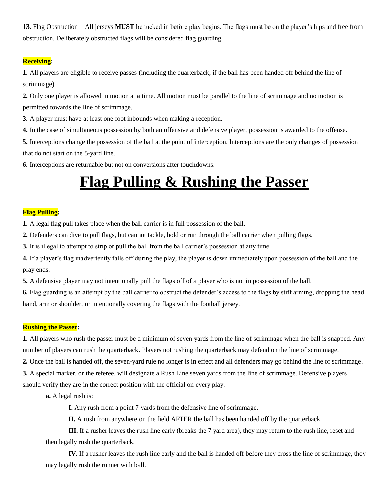**13.** Flag Obstruction – All jerseys **MUST** be tucked in before play begins. The flags must be on the player's hips and free from obstruction. Deliberately obstructed flags will be considered flag guarding.

### **Receiving:**

**1.** All players are eligible to receive passes (including the quarterback, if the ball has been handed off behind the line of scrimmage).

**2.** Only one player is allowed in motion at a time. All motion must be parallel to the line of scrimmage and no motion is permitted towards the line of scrimmage.

**3.** A player must have at least one foot inbounds when making a reception.

**4.** In the case of simultaneous possession by both an offensive and defensive player, possession is awarded to the offense.

**5.** Interceptions change the possession of the ball at the point of interception. Interceptions are the only changes of possession that do not start on the 5-yard line.

**6.** Interceptions are returnable but not on conversions after touchdowns.

## **Flag Pulling & Rushing the Passer**

### **Flag Pulling:**

**1.** A legal flag pull takes place when the ball carrier is in full possession of the ball.

**2.** Defenders can dive to pull flags, but cannot tackle, hold or run through the ball carrier when pulling flags.

**3.** It is illegal to attempt to strip or pull the ball from the ball carrier's possession at any time.

**4.** If a player's flag inadvertently falls off during the play, the player is down immediately upon possession of the ball and the play ends.

**5.** A defensive player may not intentionally pull the flags off of a player who is not in possession of the ball.

**6.** Flag guarding is an attempt by the ball carrier to obstruct the defender's access to the flags by stiff arming, dropping the head, hand, arm or shoulder, or intentionally covering the flags with the football jersey.

### **Rushing the Passer:**

**1.** All players who rush the passer must be a minimum of seven yards from the line of scrimmage when the ball is snapped. Any number of players can rush the quarterback. Players not rushing the quarterback may defend on the line of scrimmage.

**2.** Once the ball is handed off, the seven-yard rule no longer is in effect and all defenders may go behind the line of scrimmage.

**3.** A special marker, or the referee, will designate a Rush Line seven yards from the line of scrimmage. Defensive players should verify they are in the correct position with the official on every play.

**a.** A legal rush is:

**I.** Any rush from a point 7 yards from the defensive line of scrimmage.

**II.** A rush from anywhere on the field AFTER the ball has been handed off by the quarterback.

**III.** If a rusher leaves the rush line early (breaks the 7 yard area), they may return to the rush line, reset and then legally rush the quarterback.

**IV.** If a rusher leaves the rush line early and the ball is handed off before they cross the line of scrimmage, they may legally rush the runner with ball.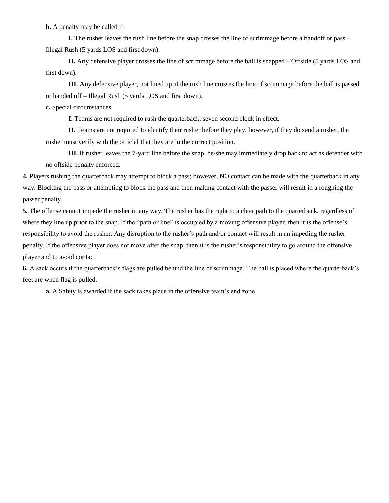**b.** A penalty may be called if:

**I.** The rusher leaves the rush line before the snap crosses the line of scrimmage before a handoff or pass – Illegal Rush (5 yards LOS and first down).

**II.** Any defensive player crosses the line of scrimmage before the ball is snapped – Offside (5 yards LOS and first down).

**III.** Any defensive player, not lined up at the rush line crosses the line of scrimmage before the ball is passed or handed off – Illegal Rush (5 yards LOS and first down).

**c.** Special circumstances:

**I.** Teams are not required to rush the quarterback, seven second clock in effect.

**II.** Teams are not required to identify their rusher before they play, however, if they do send a rusher, the rusher must verify with the official that they are in the correct position.

**III.** If rusher leaves the 7-yard line before the snap, he/she may immediately drop back to act as defender with no offside penalty enforced.

**4.** Players rushing the quarterback may attempt to block a pass; however, NO contact can be made with the quarterback in any way. Blocking the pass or attempting to block the pass and then making contact with the passer will result in a roughing the passer penalty.

**5.** The offense cannot impede the rusher in any way. The rusher has the right to a clear path to the quarterback, regardless of where they line up prior to the snap. If the "path or line" is occupied by a moving offensive player, then it is the offense's responsibility to avoid the rusher. Any disruption to the rusher's path and/or contact will result in an impeding the rusher penalty. If the offensive player does not move after the snap, then it is the rusher's responsibility to go around the offensive player and to avoid contact.

**6.** A sack occurs if the quarterback's flags are pulled behind the line of scrimmage. The ball is placed where the quarterback's feet are when flag is pulled.

**a.** A Safety is awarded if the sack takes place in the offensive team's end zone.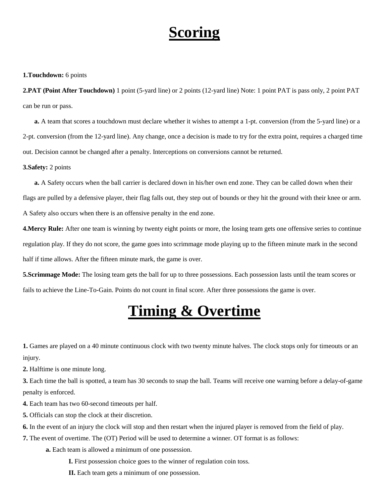# **Scoring**

#### **1.Touchdown:** 6 points

**2.PAT (Point After Touchdown)** 1 point (5-yard line) or 2 points (12-yard line) Note: 1 point PAT is pass only, 2 point PAT can be run or pass.

**a.** A team that scores a touchdown must declare whether it wishes to attempt a 1-pt. conversion (from the 5-yard line) or a 2-pt. conversion (from the 12-yard line). Any change, once a decision is made to try for the extra point, requires a charged time out. Decision cannot be changed after a penalty. Interceptions on conversions cannot be returned.

#### **3.Safety:** 2 points

**a.** A Safety occurs when the ball carrier is declared down in his/her own end zone. They can be called down when their flags are pulled by a defensive player, their flag falls out, they step out of bounds or they hit the ground with their knee or arm. A Safety also occurs when there is an offensive penalty in the end zone.

**4.Mercy Rule:** After one team is winning by twenty eight points or more, the losing team gets one offensive series to continue regulation play. If they do not score, the game goes into scrimmage mode playing up to the fifteen minute mark in the second half if time allows. After the fifteen minute mark, the game is over.

**5.Scrimmage Mode:** The losing team gets the ball for up to three possessions. Each possession lasts until the team scores or fails to achieve the Line-To-Gain. Points do not count in final score. After three possessions the game is over.

## **Timing & Overtime**

**1.** Games are played on a 40 minute continuous clock with two twenty minute halves. The clock stops only for timeouts or an injury.

**2.** Halftime is one minute long.

**3.** Each time the ball is spotted, a team has 30 seconds to snap the ball. Teams will receive one warning before a delay-of-game penalty is enforced.

**4.** Each team has two 60-second timeouts per half.

**5.** Officials can stop the clock at their discretion.

**6.** In the event of an injury the clock will stop and then restart when the injured player is removed from the field of play.

**7.** The event of overtime. The (OT) Period will be used to determine a winner. OT format is as follows:

**a.** Each team is allowed a minimum of one possession.

**I.** First possession choice goes to the winner of regulation coin toss.

**II.** Each team gets a minimum of one possession.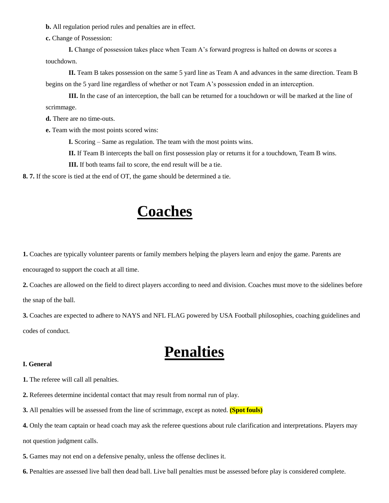**b.** All regulation period rules and penalties are in effect.

**c.** Change of Possession:

**I.** Change of possession takes place when Team A's forward progress is halted on downs or scores a touchdown.

**II.** Team B takes possession on the same 5 yard line as Team A and advances in the same direction. Team B begins on the 5 yard line regardless of whether or not Team A's possession ended in an interception.

**III.** In the case of an interception, the ball can be returned for a touchdown or will be marked at the line of scrimmage.

**d.** There are no time-outs.

**e.** Team with the most points scored wins:

**I.** Scoring – Same as regulation. The team with the most points wins.

**II.** If Team B intercepts the ball on first possession play or returns it for a touchdown, Team B wins.

**III.** If both teams fail to score, the end result will be a tie.

**8. 7.** If the score is tied at the end of OT, the game should be determined a tie.

### **Coaches**

**1.** Coaches are typically volunteer parents or family members helping the players learn and enjoy the game. Parents are encouraged to support the coach at all time.

**2.** Coaches are allowed on the field to direct players according to need and division. Coaches must move to the sidelines before the snap of the ball.

**3.** Coaches are expected to adhere to NAYS and NFL FLAG powered by USA Football philosophies, coaching guidelines and codes of conduct.

### **Penalties**

### **I. General**

**1.** The referee will call all penalties.

**2.** Referees determine incidental contact that may result from normal run of play.

**3.** All penalties will be assessed from the line of scrimmage, except as noted. **(Spot fouls)**

**4.** Only the team captain or head coach may ask the referee questions about rule clarification and interpretations. Players may

not question judgment calls.

**5.** Games may not end on a defensive penalty, unless the offense declines it.

**6.** Penalties are assessed live ball then dead ball. Live ball penalties must be assessed before play is considered complete.